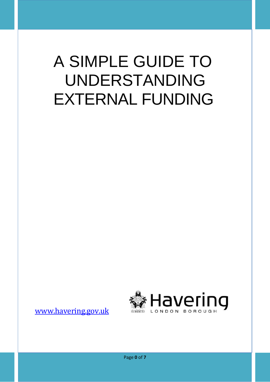# A SIMPLE GUIDE TO UNDERSTANDING EXTERNAL FUNDING



[www.havering.gov.uk](http://www.havering.gov.uk/)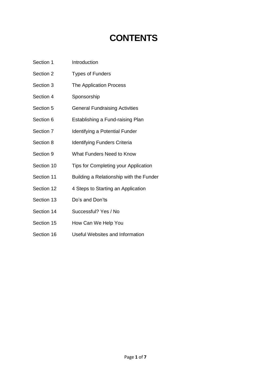## **CONTENTS**

- Section 1 Introduction
- Section 2 Types of Funders
- Section 3 The Application Process
- Section 4 Sponsorship
- Section 5 **General Fundraising Activities**
- Section 6 Establishing a Fund-raising Plan
- Section 7 Identifying a Potential Funder
- Section 8 Identifying Funders Criteria
- Section 9 What Funders Need to Know
- Section 10 Tips for Completing your Application
- Section 11 Building a Relationship with the Funder
- Section 12 4 Steps to Starting an Application
- Section 13 Do's and Don'ts
- Section 14 Successful? Yes / No
- Section 15 How Can We Help You
- Section 16 Useful Websites and Information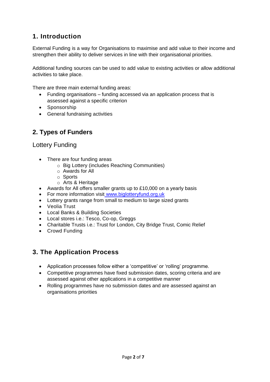## **1. Introduction**

External Funding is a way for Organisations to maximise and add value to their income and strengthen their ability to deliver services in line with their organisational priorities.

Additional funding sources can be used to add value to existing activities or allow additional activities to take place.

There are three main external funding areas:

- Funding organisations funding accessed via an application process that is assessed against a specific criterion
- Sponsorship
- General fundraising activities

## **2. Types of Funders**

### Lottery Funding

- There are four funding areas
	- o Big Lottery (includes Reaching Communities)
	- o Awards for All
	- o Sports
	- o Arts & Heritage
- Awards for All offers smaller grants up to £10,000 on a yearly basis
- For more information visit [www.biglotteryfund.org.uk](http://www.biglotteryfund.org.uk/)
- Lottery grants range from small to medium to large sized grants
- Veolia Trust
- Local Banks & Building Societies
- Local stores i.e.: Tesco, Co-op, Greggs
- Charitable Trusts i.e.: Trust for London, City Bridge Trust, Comic Relief
- Crowd Funding

## **3. The Application Process**

- Application processes follow either a 'competitive' or 'rolling' programme.
- Competitive programmes have fixed submission dates, scoring criteria and are assessed against other applications in a competitive manner
- Rolling programmes have no submission dates and are assessed against an organisations priorities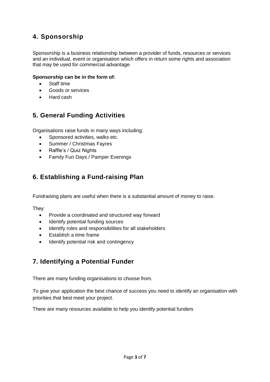## **4. Sponsorship**

Sponsorship is a business relationship between a provider of funds, resources or services and an individual, event or organisation which offers in return some rights and association that may be used for commercial advantage.

#### **Sponsorship can be in the form of:**

- Staff time
- Goods or services
- Hard cash

## **5. General Funding Activities**

Organisations raise funds in many ways including:

- Sponsored activities, walks etc.
- Summer / Christmas Fayres
- Raffle's / Quiz Nights
- Family Fun Days / Pamper Evenings

## **6. Establishing a Fund-raising Plan**

Fundraising plans are useful when there is a substantial amount of money to raise.

They:

- Provide a coordinated and structured way forward
- Identify potential funding sources
- Identify roles and responsibilities for all stakeholders
- Establish a time frame
- Identify potential risk and contingency

## **7. Identifying a Potential Funder**

There are many funding organisations to choose from.

To give your application the best chance of success you need to identify an organisation with priorities that best meet your project.

There are many resources available to help you identify potential funders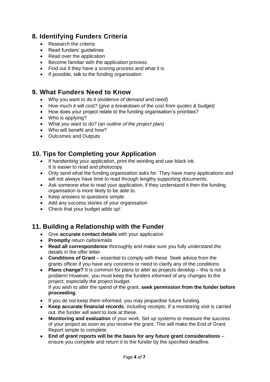## **8. Identifying Funders Criteria**

- Research the criteria
- Read funders' quidelines
- Read over the application
- Become familiar with the application process
- Find out if they have a scoring process and what it is
- If possible, talk to the funding organisation

## **9. What Funders Need to Know**

- Why you want to do it (*evidence of demand and need*)
- How much it will cost? (*give a breakdown of the cost from quotes & budget)*
- How does your project relate to the funding organisation's priorities?
- Who is applying?
- What you want to do? (*an outline of the project plan)*
- Who will benefit and how?
- Outcomes and Outputs

## **10. Tips for Completing your Application**

- If handwriting your application, print the wording and use black ink. It is easier to read and photocopy.
- Only send what the funding organisation asks for. They have many applications and will not always have time to read through lengthy supporting documents.
- Ask someone else to read your application, if they understand it then the funding organisation is more likely to be able to.
- organisation is more likely to be able.<br>• Keep answers to questions simple.
- Add any success stories of your organisation
- Check that your budget adds up!

## **11. Building a Relationship with the Funder**

- Give **accurate contact details** with your application
- **Promptly** return calls/emails
- **Read all correspondence** thoroughly and make sure you fully understand the details in the offer letter.
- **Conditions of Grant** essential to comply with these. Seek advice from the grants officer if you have any concerns or need to clarify any of the conditions
- **Plans change?** It is common for plans to alter as projects develop this is not a problem! However, you must keep the funders informed of any changes to the project, especially the project budget. If you wish to alter the spend of the grant, **seek permission from the funder before proceeding**.
- If you do not keep them informed, you may jeopardise future funding.
- **Keep accurate financial records**, including receipts. If a monitoring visit is carried out, the funder will want to look at these.
- **Monitoring and evaluation** of your work. Set up systems to measure the success of your project as soon as you receive the grant. This will make the End of Grant Report simple to complete.
- **End of grant reports will be the basis for any future grant considerations**  ensure you complete and return it to the funder by the specified deadline.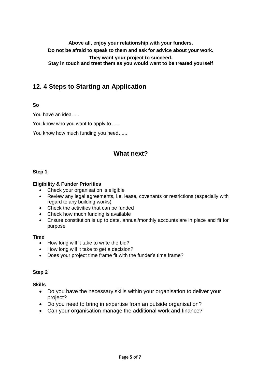**Above all, enjoy your relationship with your funders. Do not be afraid to speak to them and ask for advice about your work. They want your project to succeed. Stay in touch and treat them as you would want to be treated yourself**

## **12. 4 Steps to Starting an Application**

#### **So**

You have an idea.....

You know who you want to apply to .....

You know how much funding you need......

## **What next?**

#### **Step 1**

#### **Eligibility & Funder Priorities**

- Check your organisation is eligible
- Review any legal agreements, i.e. lease, covenants or restrictions (especially with regard to any building works)
- Check the activities that can be funded
- Check how much funding is available
- Ensure constitution is up to date, annual/monthly accounts are in place and fit for purpose

#### **Time**

- How long will it take to write the bid?
- How long will it take to get a decision?
- Does your project time frame fit with the funder's time frame?

#### **Step 2**

#### **Skills**

- Do you have the necessary skills within your organisation to deliver your project?
- Do you need to bring in expertise from an outside organisation?
- Can your organisation manage the additional work and finance?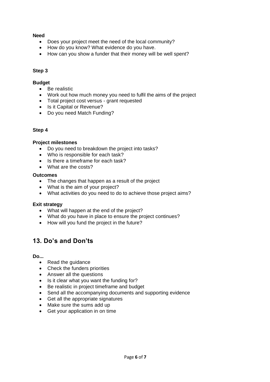#### **Need**

- Does your project meet the need of the local community?
- How do you know? What evidence do you have.
- How can you show a funder that their money will be well spent?

#### **Step 3**

#### **Budget**

- Be realistic
- Work out how much money you need to fulfil the aims of the project
- Total project cost versus grant requested
- Is it Capital or Revenue?
- Do you need Match Funding?

#### **Step 4**

#### **Project milestones**

- Do you need to breakdown the project into tasks?
- Who is responsible for each task?
- $\bullet$  Is there a timeframe for each task?
- What are the costs?

#### **Outcomes**

- The changes that happen as a result of the project
- What is the aim of your project?
- What activities do you need to do to achieve those project aims?

#### **Exit strategy**

- What will happen at the end of the project?
- What do you have in place to ensure the project continues?
- How will you fund the project in the future?

## **13. Do's and Don'ts**

#### **Do...**

- Read the quidance
- Check the funders priorities
- Answer all the questions
- Is it clear what you want the funding for?
- Be realistic in project timeframe and budget
- Send all the accompanying documents and supporting evidence
- Get all the appropriate signatures
- Make sure the sums add up
- Get your application in on time